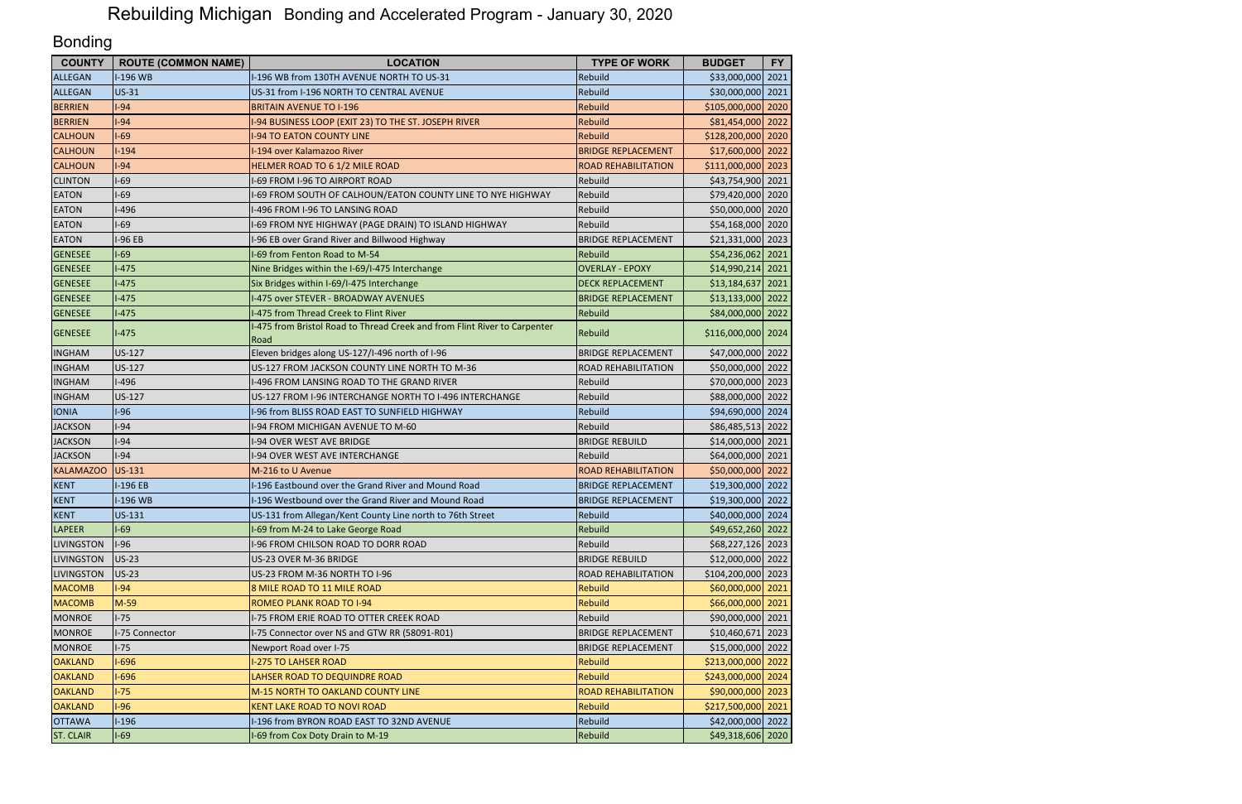| <b>COUNTY</b>     | <b>ROUTE (COMMON NAME)</b> | <b>LOCATION</b>                                                                   | <b>TYPE OF WORK</b>        | <b>BUDGET</b>      | <b>FY</b> |
|-------------------|----------------------------|-----------------------------------------------------------------------------------|----------------------------|--------------------|-----------|
| ALLEGAN           | I-196 WB                   | I-196 WB from 130TH AVENUE NORTH TO US-31                                         | <b>Rebuild</b>             | \$33,000,000 2021  |           |
| <b>ALLEGAN</b>    | <b>US-31</b>               | US-31 from I-196 NORTH TO CENTRAL AVENUE                                          | Rebuild                    | \$30,000,000 2021  |           |
| <b>BERRIEN</b>    | $-94$                      | <b>BRITAIN AVENUE TO I-196</b>                                                    | Rebuild                    | \$105,000,000 2020 |           |
| <b>BERRIEN</b>    | $-94$                      | -94 BUSINESS LOOP (EXIT 23) TO THE ST. JOSEPH RIVER                               | Rebuild                    | \$81,454,000 2022  |           |
| <b>CALHOUN</b>    | $-69$                      | <b>I-94 TO EATON COUNTY LINE</b>                                                  | Rebuild                    | \$128,200,000 2020 |           |
| <b>CALHOUN</b>    | $-194$                     | I-194 over Kalamazoo River                                                        | <b>BRIDGE REPLACEMENT</b>  | \$17,600,000 2022  |           |
| <b>CALHOUN</b>    | $-94$                      | HELMER ROAD TO 6 1/2 MILE ROAD                                                    | <b>ROAD REHABILITATION</b> | \$111,000,000 2023 |           |
| <b>CLINTON</b>    | $-69$                      | I-69 FROM I-96 TO AIRPORT ROAD                                                    | Rebuild                    | \$43,754,900 2021  |           |
| <b>EATON</b>      | $-69$                      | -69 FROM SOUTH OF CALHOUN/EATON COUNTY LINE TO NYE HIGHWAY                        | Rebuild                    | \$79,420,000 2020  |           |
| <b>EATON</b>      | $-496$                     | I-496 FROM I-96 TO LANSING ROAD                                                   | Rebuild                    | \$50,000,000 2020  |           |
| <b>EATON</b>      | $-69$                      | I-69 FROM NYE HIGHWAY (PAGE DRAIN) TO ISLAND HIGHWAY                              | Rebuild                    | \$54,168,000 2020  |           |
| <b>EATON</b>      | -96 EB                     | I-96 EB over Grand River and Billwood Highway                                     | <b>BRIDGE REPLACEMENT</b>  | \$21,331,000 2023  |           |
| <b>GENESEE</b>    | $1-69$                     | I-69 from Fenton Road to M-54                                                     | Rebuild                    | \$54,236,062 2021  |           |
| <b>GENESEE</b>    | $-475$                     | Nine Bridges within the I-69/I-475 Interchange                                    | <b>OVERLAY - EPOXY</b>     | \$14,990,214 2021  |           |
| <b>GENESEE</b>    | $1-475$                    | Six Bridges within I-69/I-475 Interchange                                         | <b>DECK REPLACEMENT</b>    | \$13,184,637 2021  |           |
| <b>GENESEE</b>    | $1-475$                    | I-475 over STEVER - BROADWAY AVENUES                                              | <b>BRIDGE REPLACEMENT</b>  | \$13,133,000 2022  |           |
| <b>GENESEE</b>    | $-475$                     | I-475 from Thread Creek to Flint River                                            | Rebuild                    | \$84,000,000 2022  |           |
| <b>GENESEE</b>    | $I-475$                    | I-475 from Bristol Road to Thread Creek and from Flint River to Carpenter<br>Road | Rebuild                    | \$116,000,000 2024 |           |
| <b>INGHAM</b>     | US-127                     | Eleven bridges along US-127/I-496 north of I-96                                   | <b>BRIDGE REPLACEMENT</b>  | \$47,000,000 2022  |           |
| <b>INGHAM</b>     | <b>US-127</b>              | US-127 FROM JACKSON COUNTY LINE NORTH TO M-36                                     | <b>ROAD REHABILITATION</b> | \$50,000,000 2022  |           |
| <b>INGHAM</b>     | <b>I-496</b>               | 1-496 FROM LANSING ROAD TO THE GRAND RIVER                                        | Rebuild                    | \$70,000,000 2023  |           |
| <b>INGHAM</b>     | US-127                     | US-127 FROM I-96 INTERCHANGE NORTH TO I-496 INTERCHANGE                           | Rebuild                    | \$88,000,000 2022  |           |
| <b>IONIA</b>      | $1-96$                     | I-96 from BLISS ROAD EAST TO SUNFIELD HIGHWAY                                     | Rebuild                    | \$94,690,000 2024  |           |
| <b>JACKSON</b>    | $-94$                      | I-94 FROM MICHIGAN AVENUE TO M-60                                                 | Rebuild                    | \$86,485,513 2022  |           |
| <b>JACKSON</b>    | $-94$                      | <b>I-94 OVER WEST AVE BRIDGE</b>                                                  | <b>BRIDGE REBUILD</b>      | \$14,000,000 2021  |           |
| <b>JACKSON</b>    | $-94$                      | <b>I-94 OVER WEST AVE INTERCHANGE</b>                                             | Rebuild                    | \$64,000,000 2021  |           |
| <b>KALAMAZOO</b>  | <b>US-131</b>              | M-216 to U Avenue                                                                 | <b>ROAD REHABILITATION</b> | \$50,000,000 2022  |           |
| <b>KENT</b>       | $-196EB$                   | I-196 Eastbound over the Grand River and Mound Road                               | <b>BRIDGE REPLACEMENT</b>  | \$19,300,000 2022  |           |
| <b>KENT</b>       | I-196 WB                   | I-196 Westbound over the Grand River and Mound Road                               | <b>BRIDGE REPLACEMENT</b>  | \$19,300,000 2022  |           |
| <b>KENT</b>       | US-131                     | US-131 from Allegan/Kent County Line north to 76th Street                         | Rebuild                    | \$40,000,000 2024  |           |
| <b>LAPEER</b>     | -69                        | I-69 from M-24 to Lake George Road                                                | Rebuild                    | \$49,652,260 2022  |           |
| <b>LIVINGSTON</b> | $1-96$                     | I-96 FROM CHILSON ROAD TO DORR ROAD                                               | Rebuild                    | \$68,227,126 2023  |           |
| <b>LIVINGSTON</b> | $US-23$                    | US-23 OVER M-36 BRIDGE                                                            | <b>BRIDGE REBUILD</b>      | \$12,000,000 2022  |           |
| <b>LIVINGSTON</b> | <b>US-23</b>               | US-23 FROM M-36 NORTH TO I-96                                                     | <b>ROAD REHABILITATION</b> | \$104,200,000 2023 |           |
| <b>MACOMB</b>     | $-94$                      | 8 MILE ROAD TO 11 MILE ROAD                                                       | <b>Rebuild</b>             | \$60,000,000 2021  |           |
| <b>MACOMB</b>     | $M-59$                     | ROMEO PLANK ROAD TO I-94                                                          | Rebuild                    | \$66,000,000 2021  |           |
| <b>MONROE</b>     | $1-75$                     | I-75 FROM ERIE ROAD TO OTTER CREEK ROAD                                           | Rebuild                    | \$90,000,000 2021  |           |
| <b>MONROE</b>     | I-75 Connector             | I-75 Connector over NS and GTW RR (58091-R01)                                     | <b>BRIDGE REPLACEMENT</b>  | \$10,460,671 2023  |           |
| <b>MONROE</b>     | $1-75$                     | Newport Road over I-75                                                            | <b>BRIDGE REPLACEMENT</b>  | \$15,000,000 2022  |           |
| <b>OAKLAND</b>    | $-696$                     | <b>I-275 TO LAHSER ROAD</b>                                                       | Rebuild                    | \$213,000,000 2022 |           |
| <b>OAKLAND</b>    | I-696                      | LAHSER ROAD TO DEQUINDRE ROAD                                                     | <b>Rebuild</b>             | \$243,000,000 2024 |           |
| <b>OAKLAND</b>    | $-75$                      | M-15 NORTH TO OAKLAND COUNTY LINE                                                 | <b>ROAD REHABILITATION</b> | \$90,000,000 2023  |           |
| <b>OAKLAND</b>    | $-96$                      | <b>KENT LAKE ROAD TO NOVI ROAD</b>                                                | <b>Rebuild</b>             | \$217,500,000 2021 |           |
| <b>OTTAWA</b>     | $-196$                     | I-196 from BYRON ROAD EAST TO 32ND AVENUE                                         | Rebuild                    | \$42,000,000 2022  |           |
| <b>ST. CLAIR</b>  | $-69$                      | I-69 from Cox Doty Drain to M-19                                                  | Rebuild                    | \$49,318,606 2020  |           |

## Bonding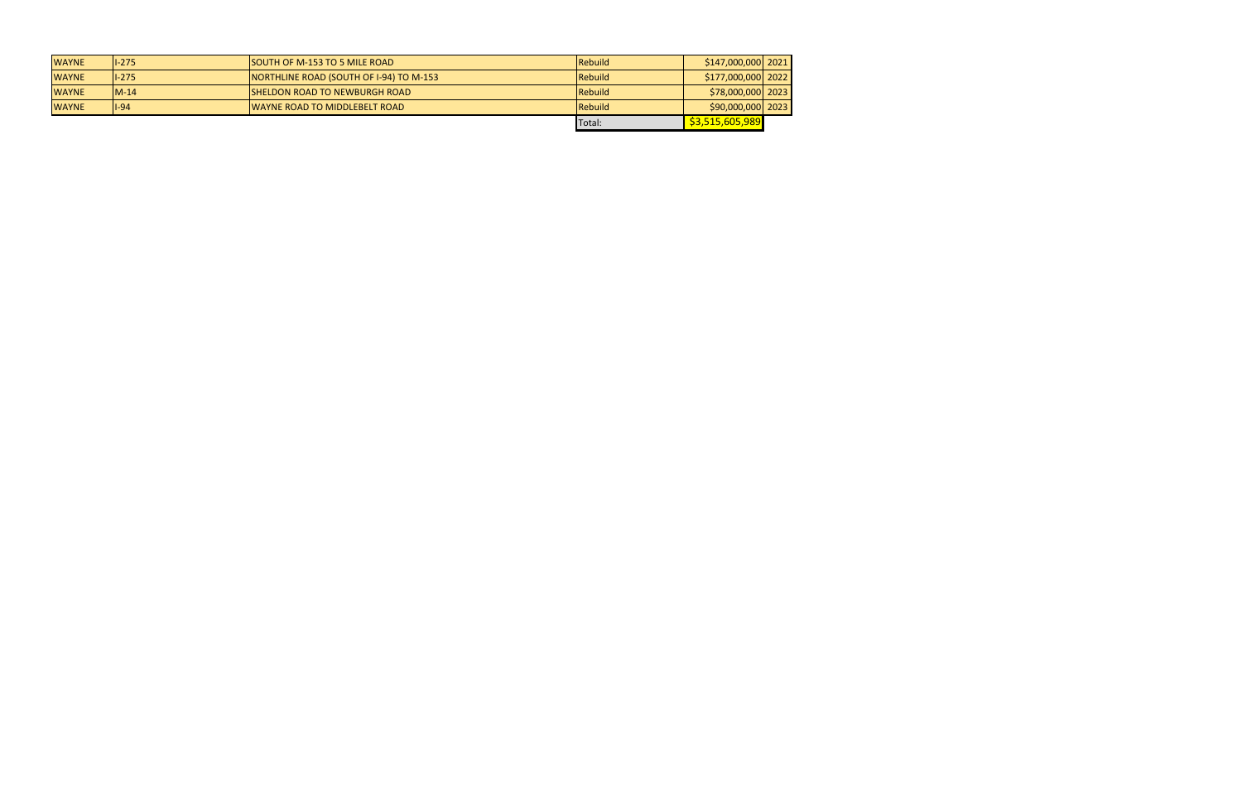| <b>WAYNE</b> | $1 - 275$ | <b>ISOUTH OF M-153 TO 5 MILE ROAD</b>   | <b>IRebuild</b> | \$147,000,000 2021                        |  |
|--------------|-----------|-----------------------------------------|-----------------|-------------------------------------------|--|
| <b>WAYNE</b> | $1 - 275$ | NORTHLINE ROAD (SOUTH OF I-94) TO M-153 | Rebuild         | $\frac{15177,000,000}{2022}$              |  |
| <b>WAYNE</b> | $IM-14$   | <b>ISHELDON ROAD TO NEWBURGH ROAD</b>   | Rebuild         | \$78,000,000 2023                         |  |
| <b>WAYNE</b> | $ 1-94 $  | <b>IWAYNE ROAD TO MIDDLEBELT ROAD</b>   | Rebuild         | $\left  \frac{590,000,000}{2023} \right $ |  |
|              |           |                                         | Total:          | \$3,515,605,989                           |  |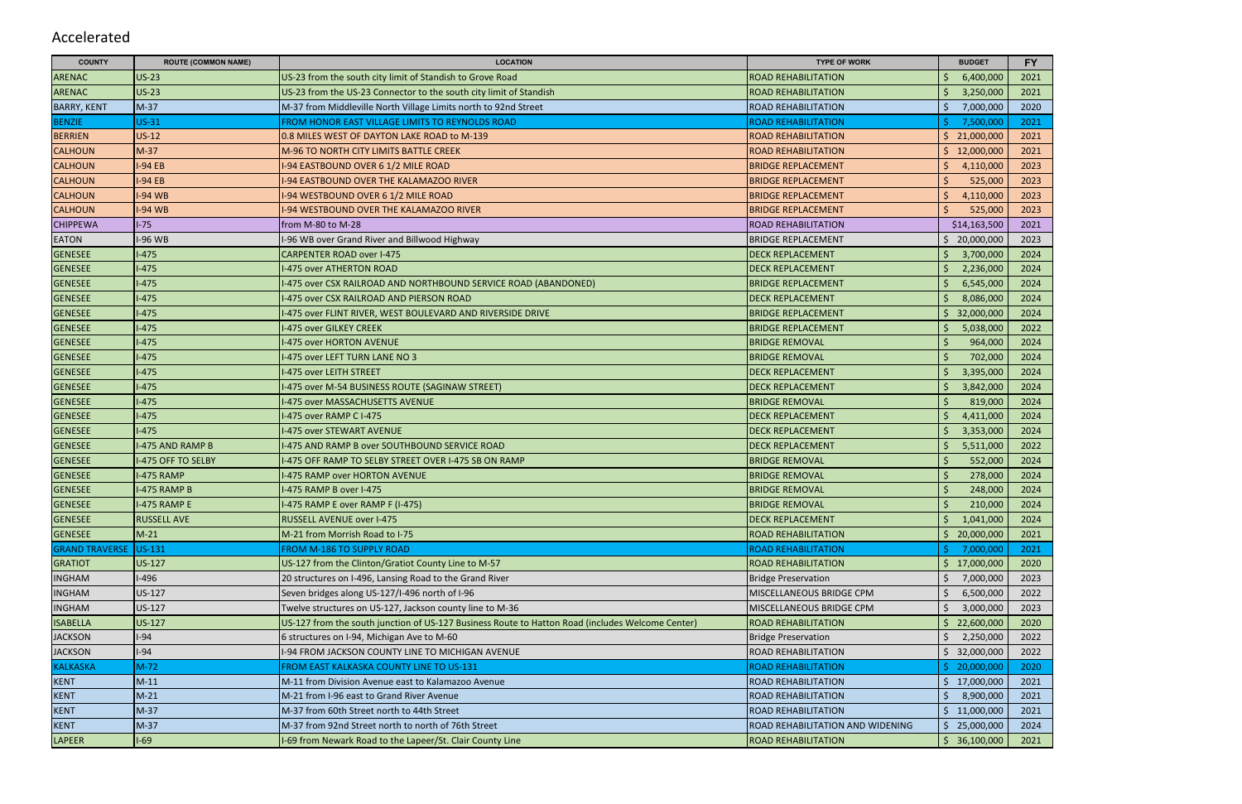| <b>COUNTY</b>         | <b>ROUTE (COMMON NAME)</b> | <b>LOCATION</b>                                                                                  | <b>TYPE OF WORK</b>              | <b>BUDGET</b>    | <b>FY</b> |
|-----------------------|----------------------------|--------------------------------------------------------------------------------------------------|----------------------------------|------------------|-----------|
| <b>ARENAC</b>         | $US-23$                    | US-23 from the south city limit of Standish to Grove Road                                        | <b>ROAD REHABILITATION</b>       | 6,400,000        | 2021      |
| <b>ARENAC</b>         | $US-23$                    | US-23 from the US-23 Connector to the south city limit of Standish                               | <b>ROAD REHABILITATION</b>       | 3,250,000        | 2021      |
| <b>BARRY, KENT</b>    | $M-37$                     | M-37 from Middleville North Village Limits north to 92nd Street                                  | <b>ROAD REHABILITATION</b>       | 7,000,000        | 2020      |
| <b>BENZIE</b>         | $US-31$                    | FROM HONOR EAST VILLAGE LIMITS TO REYNOLDS ROAD                                                  | <b>ROAD REHABILITATION</b>       | 7,500,000        | 2021      |
| <b>BERRIEN</b>        | $US-12$                    | 0.8 MILES WEST OF DAYTON LAKE ROAD to M-139                                                      | <b>ROAD REHABILITATION</b>       | Ś.<br>21,000,000 | 2021      |
| <b>CALHOUN</b>        | $M-37$                     | M-96 TO NORTH CITY LIMITS BATTLE CREEK                                                           | <b>ROAD REHABILITATION</b>       | 12,000,000       | 2021      |
| <b>CALHOUN</b>        | $-94EB$                    | -94 EASTBOUND OVER 6 1/2 MILE ROAD                                                               | <b>BRIDGE REPLACEMENT</b>        | 4,110,000        | 2023      |
| <b>CALHOUN</b>        | $-94EB$                    | -94 EASTBOUND OVER THE KALAMAZOO RIVER                                                           | <b>BRIDGE REPLACEMENT</b>        | 525,000          | 2023      |
| <b>CALHOUN</b>        | -94 WB                     | -94 WESTBOUND OVER 6 1/2 MILE ROAD                                                               | <b>BRIDGE REPLACEMENT</b>        | 4,110,000        | 2023      |
| <b>CALHOUN</b>        | -94 WB                     | -94 WESTBOUND OVER THE KALAMAZOO RIVER                                                           | <b>BRIDGE REPLACEMENT</b>        | 525,000          | 2023      |
| <b>CHIPPEWA</b>       | $-75$                      | from M-80 to M-28                                                                                | <b>ROAD REHABILITATION</b>       | \$14,163,500     | 2021      |
| <b>EATON</b>          | -96 WB                     | -96 WB over Grand River and Billwood Highway                                                     | <b>BRIDGE REPLACEMENT</b>        | 20,000,000       | 2023      |
| <b>GENESEE</b>        | $-475$                     | <b>CARPENTER ROAD over I-475</b>                                                                 | <b>DECK REPLACEMENT</b>          | 3,700,000        | 2024      |
| <b>GENESEE</b>        | $-475$                     | I-475 over ATHERTON ROAD                                                                         | <b>DECK REPLACEMENT</b>          | 2,236,000        | 2024      |
| <b>GENESEE</b>        | $-475$                     | -475 over CSX RAILROAD AND NORTHBOUND SERVICE ROAD (ABANDONED)                                   | <b>BRIDGE REPLACEMENT</b>        | 6,545,000        | 2024      |
| <b>GENESEE</b>        | $-475$                     | -475 over CSX RAILROAD AND PIERSON ROAD                                                          | <b>DECK REPLACEMENT</b>          | 8,086,000        | 2024      |
| <b>GENESEE</b>        | $-475$                     | I-475 over FLINT RIVER, WEST BOULEVARD AND RIVERSIDE DRIVE                                       | <b>BRIDGE REPLACEMENT</b>        | 32,000,000       | 2024      |
| <b>GENESEE</b>        | $-475$                     | -475 over GILKEY CREEK                                                                           | <b>BRIDGE REPLACEMENT</b>        | 5,038,000        | 2022      |
| <b>GENESEE</b>        | $-475$                     | -475 over HORTON AVENUE                                                                          | <b>BRIDGE REMOVAL</b>            | 964,000          | 2024      |
| <b>GENESEE</b>        | $-475$                     | -475 over LEFT TURN LANE NO 3                                                                    | <b>BRIDGE REMOVAL</b>            | 702,000          | 2024      |
| <b>GENESEE</b>        | $-475$                     | I-475 over LEITH STREET                                                                          | <b>DECK REPLACEMENT</b>          | 3,395,000        | 2024      |
| <b>GENESEE</b>        | $-475$                     | I-475 over M-54 BUSINESS ROUTE (SAGINAW STREET)                                                  | <b>DECK REPLACEMENT</b>          | 3,842,000        | 2024      |
| <b>GENESEE</b>        | $-475$                     | -475 over MASSACHUSETTS AVENUE                                                                   | <b>BRIDGE REMOVAL</b>            | 819,000          | 2024      |
| <b>GENESEE</b>        | $-475$                     | I-475 over RAMP C I-475                                                                          | <b>DECK REPLACEMENT</b>          | 4,411,000        | 2024      |
| <b>GENESEE</b>        | $-475$                     | -475 over STEWART AVENUE                                                                         | <b>DECK REPLACEMENT</b>          | 3,353,000        | 2024      |
| <b>GENESEE</b>        | -475 AND RAMP B            | I-475 AND RAMP B over SOUTHBOUND SERVICE ROAD                                                    | <b>DECK REPLACEMENT</b>          | 5,511,000        | 2022      |
| <b>GENESEE</b>        | -475 OFF TO SELBY          | -475 OFF RAMP TO SELBY STREET OVER I-475 SB ON RAMP                                              | <b>BRIDGE REMOVAL</b>            | 552,000          | 2024      |
| <b>GENESEE</b>        | -475 RAMP                  | I-475 RAMP over HORTON AVENUE                                                                    | <b>BRIDGE REMOVAL</b>            | 278,000          | 2024      |
| <b>GENESEE</b>        | -475 RAMP B                | I-475 RAMP B over I-475                                                                          | <b>BRIDGE REMOVAL</b>            | 248,000          | 2024      |
| <b>GENESEE</b>        | <b>I-475 RAMP E</b>        | I-475 RAMP E over RAMP F (I-475)                                                                 | <b>BRIDGE REMOVAL</b>            | 210,000          | 2024      |
| <b>GENESEE</b>        | <b>RUSSELL AVE</b>         | RUSSELL AVENUE over I-475                                                                        | <b>DECK REPLACEMENT</b>          | 1,041,000        | 2024      |
| <b>GENESEE</b>        | $M-21$                     | M-21 from Morrish Road to I-75                                                                   | <b>ROAD REHABILITATION</b>       | 20,000,000       | 2021      |
| <b>GRAND TRAVERSE</b> | US-131                     | FROM M-186 TO SUPPLY ROAD                                                                        | <b>ROAD REHABILITATION</b>       | 7,000,000        | 2021      |
| <b>GRATIOT</b>        | <b>US-127</b>              | US-127 from the Clinton/Gratiot County Line to M-57                                              | <b>ROAD REHABILITATION</b>       | Ŝ.<br>17,000,000 | 2020      |
| <b>INGHAM</b>         | $-496$                     | 20 structures on I-496, Lansing Road to the Grand River                                          | <b>Bridge Preservation</b>       | 7,000,000        | 2023      |
| <b>INGHAM</b>         | US-127                     | Seven bridges along US-127/I-496 north of I-96                                                   | MISCELLANEOUS BRIDGE CPM         | 6,500,000        | 2022      |
| <b>INGHAM</b>         | US-127                     | Twelve structures on US-127, Jackson county line to M-36                                         | MISCELLANEOUS BRIDGE CPM         | 3,000,000        | 2023      |
| <b>ISABELLA</b>       | <b>US-127</b>              | US-127 from the south junction of US-127 Business Route to Hatton Road (includes Welcome Center) | <b>ROAD REHABILITATION</b>       | 22,600,000       | 2020      |
| <b>JACKSON</b>        | -94                        | 6 structures on I-94, Michigan Ave to M-60                                                       | <b>Bridge Preservation</b>       | 2,250,000        | 2022      |
| <b>JACKSON</b>        | $-94$                      | I-94 FROM JACKSON COUNTY LINE TO MICHIGAN AVENUE                                                 | <b>ROAD REHABILITATION</b>       | 32,000,000<br>Ŝ. | 2022      |
| <b>KALKASKA</b>       | $M-72$                     | FROM EAST KALKASKA COUNTY LINE TO US-131                                                         | <b>ROAD REHABILITATION</b>       | 20,000,000       | 2020      |
| <b>KENT</b>           | $M-11$                     | M-11 from Division Avenue east to Kalamazoo Avenue                                               | <b>ROAD REHABILITATION</b>       | \$17,000,000     | 2021      |
| <b>KENT</b>           | $M-21$                     | M-21 from I-96 east to Grand River Avenue                                                        | <b>ROAD REHABILITATION</b>       | 8,900,000        | 2021      |
| <b>KENT</b>           | $M-37$                     | M-37 from 60th Street north to 44th Street                                                       | <b>ROAD REHABILITATION</b>       | 11,000,000       | 2021      |
| <b>KENT</b>           | $M-37$                     | M-37 from 92nd Street north to north of 76th Street                                              | ROAD REHABILITATION AND WIDENING | 25,000,000<br>Ś. | 2024      |
| LAPEER                | $-69$                      | I-69 from Newark Road to the Lapeer/St. Clair County Line                                        | <b>ROAD REHABILITATION</b>       | \$36,100,000     | 2021      |

## Accelerated